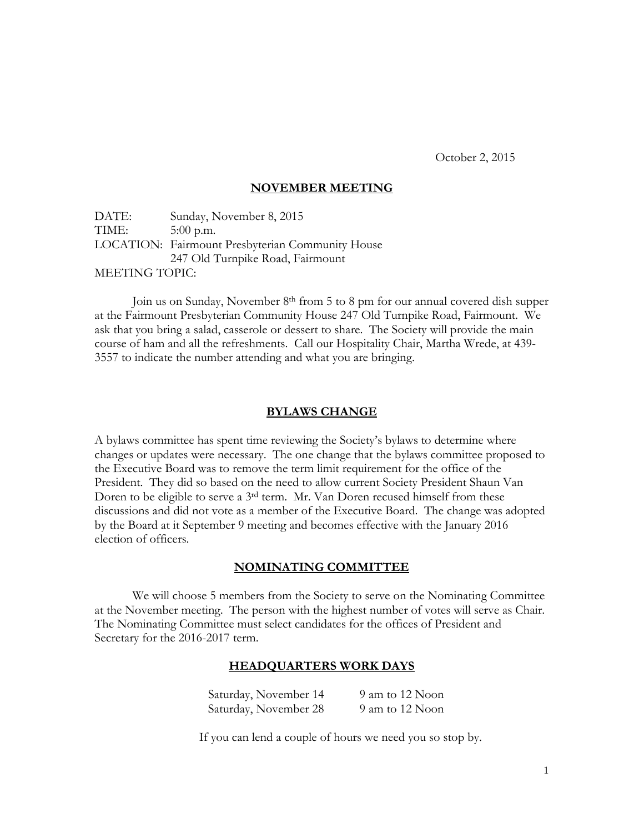October 2, 2015

# **NOVEMBER MEETING**

DATE: Sunday, November 8, 2015 TIME: 5:00 p.m. LOCATION: Fairmount Presbyterian Community House 247 Old Turnpike Road, Fairmount MEETING TOPIC:

Join us on Sunday, November 8th from 5 to 8 pm for our annual covered dish supper at the Fairmount Presbyterian Community House 247 Old Turnpike Road, Fairmount. We ask that you bring a salad, casserole or dessert to share. The Society will provide the main course of ham and all the refreshments. Call our Hospitality Chair, Martha Wrede, at 439- 3557 to indicate the number attending and what you are bringing.

# **BYLAWS CHANGE**

A bylaws committee has spent time reviewing the Society's bylaws to determine where changes or updates were necessary. The one change that the bylaws committee proposed to the Executive Board was to remove the term limit requirement for the office of the President. They did so based on the need to allow current Society President Shaun Van Doren to be eligible to serve a 3rd term. Mr. Van Doren recused himself from these discussions and did not vote as a member of the Executive Board. The change was adopted by the Board at it September 9 meeting and becomes effective with the January 2016 election of officers.

# **NOMINATING COMMITTEE**

We will choose 5 members from the Society to serve on the Nominating Committee at the November meeting. The person with the highest number of votes will serve as Chair. The Nominating Committee must select candidates for the offices of President and Secretary for the 2016-2017 term.

#### **HEADQUARTERS WORK DAYS**

| Saturday, November 14 | 9 am to 12 Noon |
|-----------------------|-----------------|
| Saturday, November 28 | 9 am to 12 Noon |

If you can lend a couple of hours we need you so stop by.